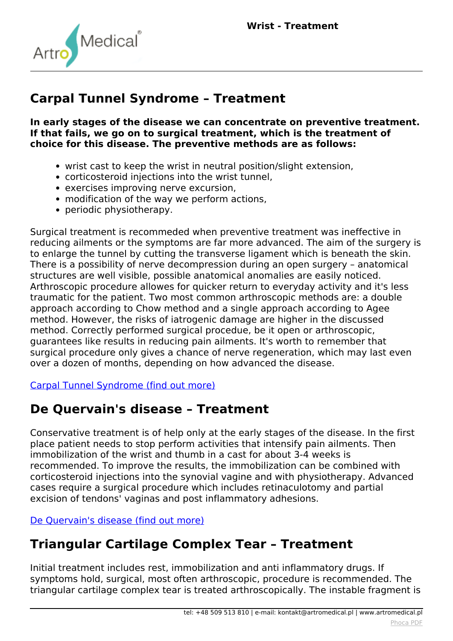

### **Carpal Tunnel Syndrome – Treatment**

**In early stages of the disease we can concentrate on preventive treatment. If that fails, we go on to surgical treatment, which is the treatment of choice for this disease. The preventive methods are as follows:**

- *wrist cast to keep the wrist in neutral position/slight extension,*
- *corticosteroid injections into the wrist tunnel,*
- *exercises improving nerve excursion,*
- *modification of the way we perform actions,*
- **•** periodic physiotherapy.

*Surgical treatment is recommeded when preventive treatment was ineffective in reducing ailments or the symptoms are far more advanced. The aim of the surgery is to enlarge the tunnel by cutting the transverse ligament which is beneath the skin. There is a possibility of nerve decompression during an open surgery – anatomical structures are well visible, possible anatomical anomalies are easily noticed. Arthroscopic procedure allowes for quicker return to everyday activity and it's less traumatic for the patient. Two most common arthroscopic methods are: a double approach according to Chow method and a single approach according to Agee method. However, the risks of iatrogenic damage are higher in the discussed method. Correctly performed surgical procedue, be it open or arthroscopic, guarantees like results in reducing pain ailments. It's worth to remember that surgical procedure only gives a chance of nerve regeneration, which may last even over a dozen of months, depending on how advanced the disease.*

*[Carpal Tunnel Syndrome \(find out more\)](index.php?option=com_content&view=article&id=141:wrist-injuries-and-chronic-ilnesses&catid=9:articles&Itemid=353#carpal)*

## **De Quervain's disease – Treatment**

*Conservative treatment is of help only at the early stages of the disease. In the first place patient needs to stop perform activities that intensify pain ailments. Then immobilization of the wrist and thumb in a cast for about 3-4 weeks is recommended. To improve the results, the immobilization can be combined with corticosteroid injections into the synovial vagine and with physiotherapy. Advanced cases require a surgical procedure which includes retinaculotomy and partial excision of tendons' vaginas and post inflammatory adhesions.*

*[De Quervain's disease \(find out more\)](index.php?option=com_content&view=article&id=141:wrist-injuries-and-chronic-ilnesses&catid=9:articles&Itemid=353#quearvain)*

# **Triangular Cartilage Complex Tear – Treatment**

*Initial treatment includes rest, immobilization and anti inflammatory drugs. If symptoms hold, surgical, most often arthroscopic, procedure is recommended. The triangular cartilage complex tear is treated arthroscopically. The instable fragment is*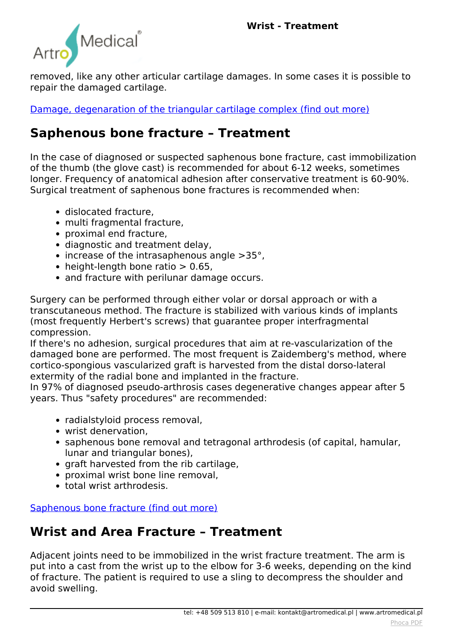

*removed, like any other articular cartilage damages. In some cases it is possible to repair the damaged cartilage.*

*[Damage, degenaration of the triangular cartilage complex \(find out more\)](index.php?option=com_content&view=article&id=141:wrist-injuries-and-chronic-ilnesses&catid=9:articles&Itemid=353#triangular)*

### **Saphenous bone fracture – Treatment**

*In the case of diagnosed or suspected saphenous bone fracture, cast immobilization of the thumb (the glove cast) is recommended for about 6-12 weeks, sometimes longer. Frequency of anatomical adhesion after conservative treatment is 60-90%. Surgical treatment of saphenous bone fractures is recommended when:*

- *dislocated fracture,*
- *multi fragmental fracture,*
- *proximal end fracture,*
- *diagnostic and treatment delay,*
- *increase of the intrasaphenous angle >35°,*
- *height-length bone ratio > 0.65,*
- *and fracture with perilunar damage occurs.*

*Surgery can be performed through either volar or dorsal approach or with a transcutaneous method. The fracture is stabilized with various kinds of implants (most frequently Herbert's screws) that guarantee proper interfragmental compression.*

*If there's no adhesion, surgical procedures that aim at re-vascularization of the damaged bone are performed. The most frequent is Zaidemberg's method, where cortico-spongious vascularized graft is harvested from the distal dorso-lateral extermity of the radial bone and implanted in the fracture.*

*In 97% of diagnosed pseudo-arthrosis cases degenerative changes appear after 5 years. Thus "safety procedures" are recommended:*

- *radialstyloid process removal,*
- *wrist denervation,*
- *saphenous bone removal and tetragonal arthrodesis (of capital, hamular, lunar and triangular bones),*
- *graft harvested from the rib cartilage,*
- *proximal wrist bone line removal,*
- *total wrist arthrodesis.*

*[Saphenous bone fracture \(find out more\)](index.php?option=com_content&view=article&id=141:wrist-injuries-and-chronic-ilnesses&catid=9:articles&Itemid=353#saphenous)*

### **Wrist and Area Fracture – Treatment**

*Adjacent joints need to be immobilized in the wrist fracture treatment. The arm is put into a cast from the wrist up to the elbow for 3-6 weeks, depending on the kind of fracture. The patient is required to use a sling to decompress the shoulder and avoid swelling.*